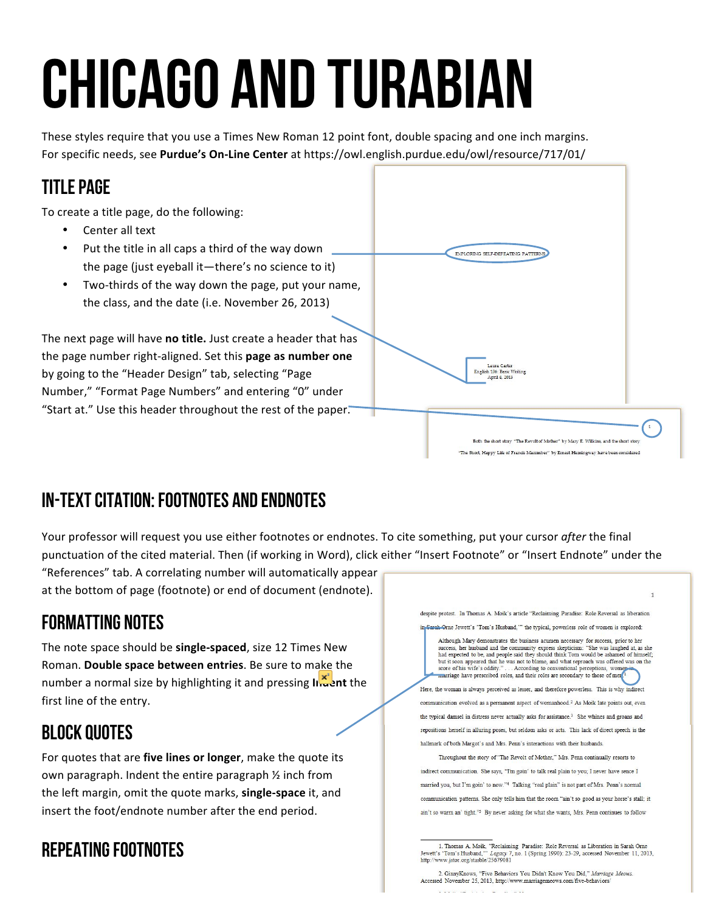# Chicago and Turabian

These styles require that you use a Times New Roman 12 point font, double spacing and one inch margins. For specific needs, see Purdue's On-Line Center at https://owl.english.purdue.edu/owl/resource/717/01/

#### Title Page

To create a title page, do the following:

- Center all text
- Put the title in all caps a third of the way down the page (just eyeball it—there's no science to it)
- Two-thirds of the way down the page, put your name, the class, and the date (i.e. November 26, 2013)

The next page will have no title. Just create a header that has the page number right-aligned. Set this **page as number one** by going to the "Header Design" tab, selecting "Page Number," "Format Page Numbers" and entering "0" under "Start at." Use this header throughout the rest of the paper."



## In-Text Citation: Footnotes and Endnotes

Your professor will request you use either footnotes or endnotes. To cite something, put your cursor *after* the final punctuation of the cited material. Then (if working in Word), click either "Insert Footnote" or "Insert Endnote" under the

"References" tab. A correlating number will automatically appear at the bottom of page (footnote) or end of document (endnote).

### Formatting Notes

The note space should be **single-spaced**, size 12 Times New Roman. Double space between entries. Be sure to make the number a normal size by highlighting it and pressing **Indent** the first line of the entry.

#### Block Quotes

For quotes that are five lines or longer, make the quote its own paragraph. Indent the entire paragraph  $\frac{1}{2}$  inch from the left margin, omit the quote marks, **single-space** it, and insert the foot/endnote number after the end period.

### Repeating Footnotes



<sup>1.</sup> Thomas A. Moik, "Reclaiming Paradise: Role Reversal as Liberation in Sarah Orne Jewett's 'Tom's Husband,'" Legacy 7, no. 1 (Spring 1990): 23-29, accessed November 11, 2013, http://www.jstor.org/stasble/25679081

2. GinnyKnows, "Five Behaviors You Didn't Know You Did," Marriage Meows, Accessed November 25, 2013, http://www.marriagemeows.com/five-behaviors nemerlement and the time

**TEL CENSE**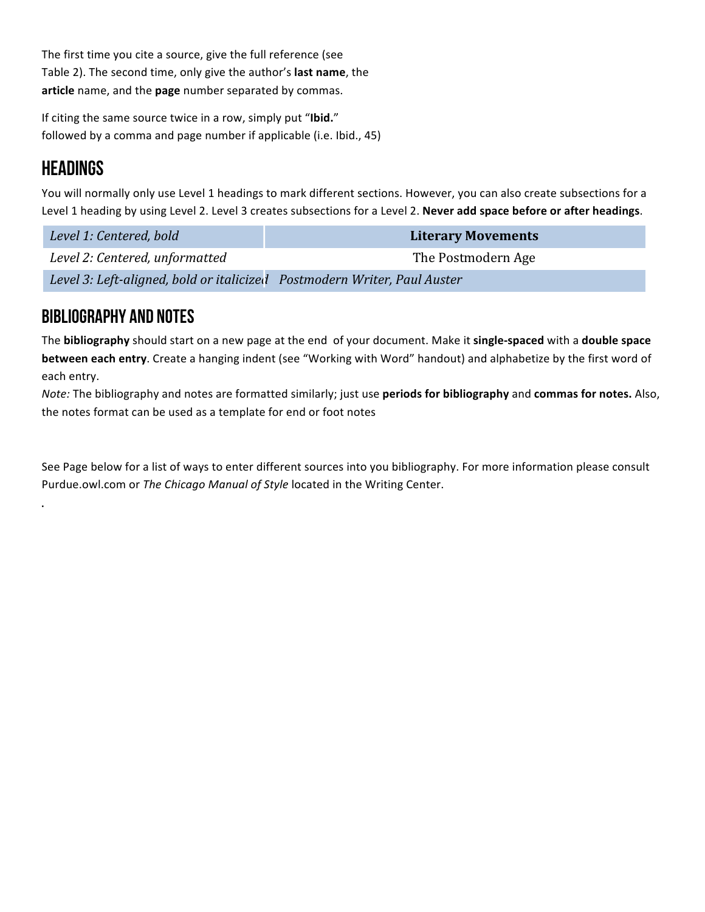The first time you cite a source, give the full reference (see Table 2). The second time, only give the author's **last name**, the article name, and the page number separated by commas.

If citing the same source twice in a row, simply put "Ibid." followed by a comma and page number if applicable (i.e. Ibid., 45)

#### **HEADINGS**

.

You will normally only use Level 1 headings to mark different sections. However, you can also create subsections for a Level 1 heading by using Level 2. Level 3 creates subsections for a Level 2. Never add space before or after headings.

| Level 1: Centered, bold                                                   | <b>Literary Movements</b> |
|---------------------------------------------------------------------------|---------------------------|
| Level 2: Centered, unformatted                                            | The Postmodern Age        |
| Level 3: Left-aligned, bold or italicized  Postmodern Writer, Paul Auster |                           |

#### Bibliography and Notes

The **bibliography** should start on a new page at the end of your document. Make it single-spaced with a double space **between each entry**. Create a hanging indent (see "Working with Word" handout) and alphabetize by the first word of each entry.

*Note:* The bibliography and notes are formatted similarly; just use **periods for bibliography** and **commas for notes.** Also, the notes format can be used as a template for end or foot notes

See Page below for a list of ways to enter different sources into you bibliography. For more information please consult Purdue.owl.com or The Chicago Manual of Style located in the Writing Center.